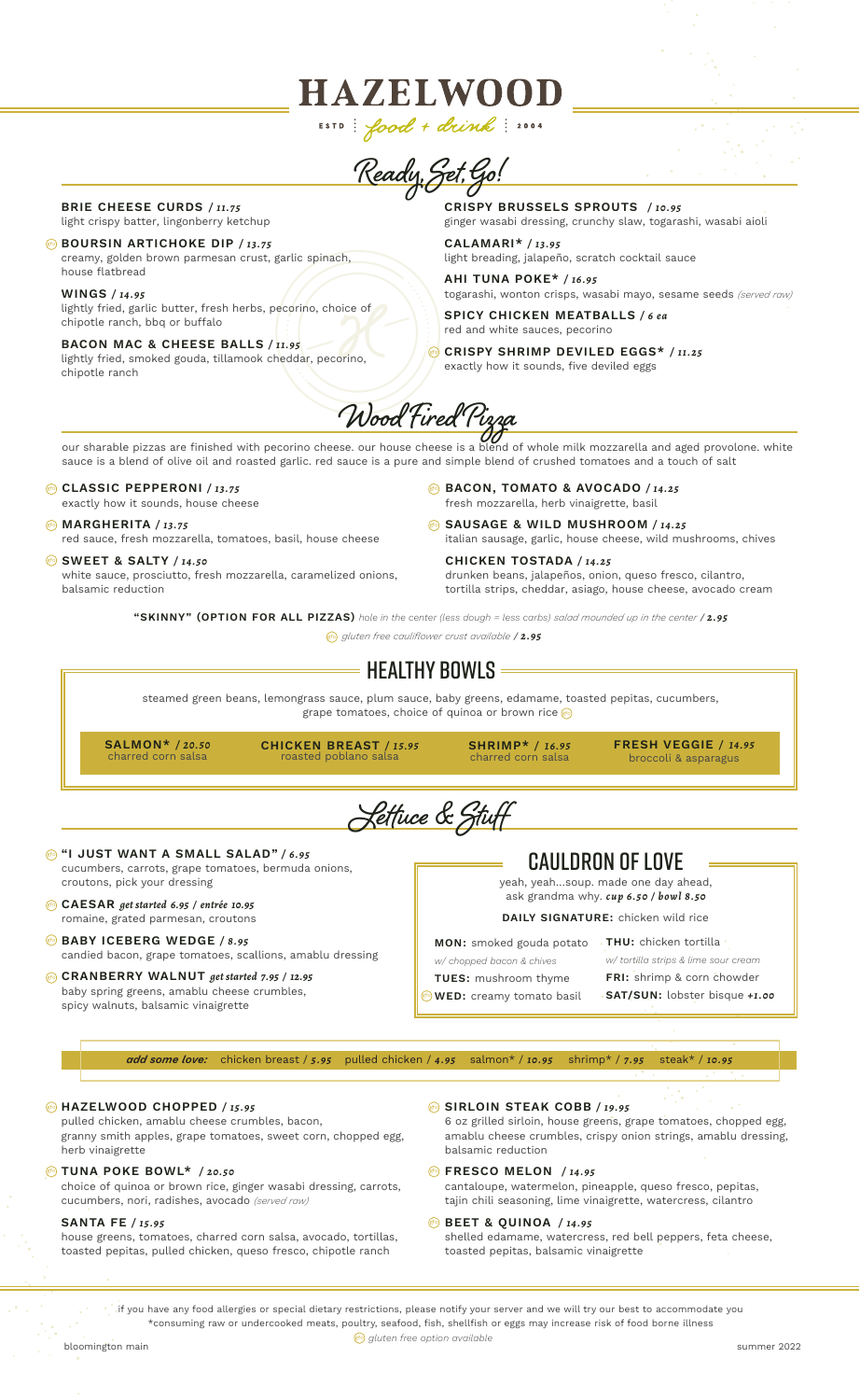**Ready, Set, Go!**

**HAZELWOOD** 

ESTD: food + drink: 2004

#### BRIE CHEESE CURDS */ 11.75* light crispy batter, lingonberry ketchup

**@** BOURSIN ARTICHOKE DIP / 13.75 creamy, golden brown parmesan crust, garlic spinach, house flatbread

WINGS */ 14.95* lightly fried, garlic butter, fresh herbs, pecorino, choice of chipotle ranch, bbq or buffalo

BACON MAC & CHEESE BALLS */ 11.95* lightly fried, smoked gouda, tillamook cheddar, pecorino, chipotle ranch

CRISPY BRUSSELS SPROUTS */ 10.95*

ginger wasabi dressing, crunchy slaw, togarashi, wasabi aioli

CALAMARI\* */ 13.95* light breading, jalapeño, scratch cocktail sauce

AHI TUNA POKE\* */ 16.95* togarashi, wonton crisps, wasabi mayo, sesame seeds *(served raw)*

SPICY CHICKEN MEATBALLS */ 6 ea* red and white sauces, pecorino

CRISPY SHRIMP DEVILED EGGS\* */ 11.25* gfoexactly how it sounds, five deviled eggs

**Wood Fired Pizza**

our sharable pizzas are finished with pecorino cheese. our house cheese is a blend of whole milk mozzarella and aged provolone. white sauce is a blend of olive oil and roasted garlic. red sauce is a pure and simple blend of crushed tomatoes and a touch of salt

# **GLASSIC PEPPERONI / 13.75**

exactly how it sounds, house cheese

#### MARGHERITA */ 13.75* gfo red sauce, fresh mozzarella, tomatoes, basil, house cheese

**SWEET & SALTY / 14.50** 

white sauce, prosciutto, fresh mozzarella, caramelized onions, balsamic reduction

BACON, TOMATO & AVOCADO */ 14.25* gfo fresh mozzarella, herb vinaigrette, basil

SAUSAGE & WILD MUSHROOM */ 14.25* gfo italian sausage, garlic, house cheese, wild mushrooms, chives

CHICKEN TOSTADA */ 14.25* drunken beans, jalapeños, onion, queso fresco, cilantro, tortilla strips, cheddar, asiago, house cheese, avocado cream

"SKINNY" (OPTION FOR ALL PIZZAS) *hole in the center (less dough = less carbs) salad mounded up in the center* / *2.95*

*gluten free cauliflower crust available* / *2.95* gfo

# $\,$  = Healthy Bowls =

steamed green beans, lemongrass sauce, plum sauce, baby greens, edamame, toasted pepitas, cucumbers, grape tomatoes, choice of quinoa or brown rice  $\left|\mathbb{F}\right|$ 

SALMON\* */ 20.50* charred corn salsa

CHICKEN BREAST */ 15.95* roasted poblano salsa

SHRIMP\* */ 16.95* charred corn salsa

FRESH VEGGIE */ 14.95* broccoli & asparagus

**Lettuce & Stuff**

- **@ "I JUST WANT A SMALL SALAD" / 6.95** cucumbers, carrots, grape tomatoes, bermuda onions, croutons, pick your dressing
- CAESAR *get started 6.95 / entrée 10.95* gfo romaine, grated parmesan, croutons
- **BABY ICEBERG WEDGE / 8.95** candied bacon, grape tomatoes, scallions, amablu dressing

#### CRANBERRY WALNUT *get started 7.95 / 12.95* gfo baby spring greens, amablu cheese crumbles,

spicy walnuts, balsamic vinaigrette

|  | <b>CAULDRON OF LOVE</b> |  |
|--|-------------------------|--|

yeah, yeah…soup. made one day ahead, ask grandma why. *cup 6.50 / bowl 8.50*

# DAILY SIGNATURE: chicken wild rice

MON: smoked gouda potato

FRI: shrimp & corn chowder SAT/SUN: lobster bisque *+1.00*

TUES: mushroom thyme  $_{\rm gfo}$  WED: creamy tomato basil

*add some love:* chicken breast / *5.95* pulled chicken / *4.95* salmon\* / *10.95* shrimp\* / *7.95* steak\* / *10.95*

# HAZELWOOD CHOPPED */ 15.95* gfo

pulled chicken, amablu cheese crumbles, bacon, granny smith apples, grape tomatoes, sweet corn, chopped egg, herb vinaigrette

### TUNA POKE BOWL\* */ 20.50* gfo

choice of quinoa or brown rice, ginger wasabi dressing, carrots, cucumbers, nori, radishes, avocado *(served raw)*

# SANTA FE */ 15.95*

house greens, tomatoes, charred corn salsa, avocado, tortillas, toasted pepitas, pulled chicken, queso fresco, chipotle ranch

### SIRLOIN STEAK COBB */ 19.95* gfo

toasted pepitas, balsamic vinaigrette

6 oz grilled sirloin, house greens, grape tomatoes, chopped egg, amablu cheese crumbles, crispy onion strings, amablu dressing, balsamic reduction

- **Example 3 FRESCO MELON** / 14.95 cantaloupe, watermelon, pineapple, queso fresco, pepitas, tajin chili seasoning, lime vinaigrette, watercress, cilantro
- BEET & QUINOA */ 14.95* gfo shelled edamame, watercress, red bell peppers, feta cheese,

if you have any food allergies or special dietary restrictions, please notify your server and we will try our best to accommodate you \*consuming raw or undercooked meats, poultry, seafood, fish, shellfish or eggs may increase risk of food borne illness



*w/ chopped bacon & chives*